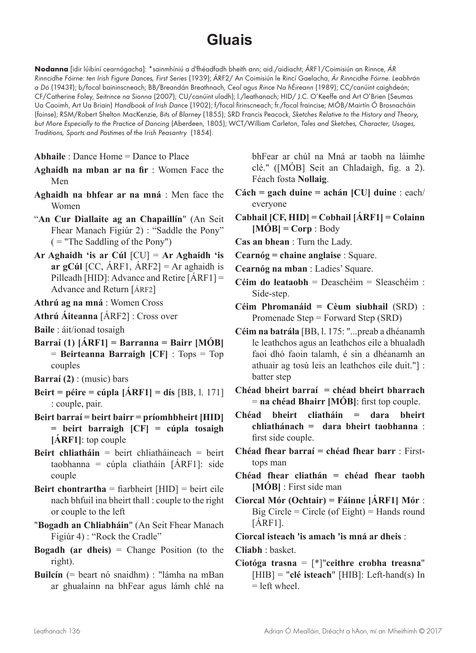## **Gluais**

**Nodanna** [idir lúibíní cearnógacha]: \*sainmhíniú a d'fhéadfadh bheith ann; aid./aidiacht; ÁRF1/Coimisiún an Rinnce, *ÁR Rinncidhe Fóirne: ten Irish Figure Dances, First Series* (1939); ÁRF2/ An Coimisiún le Rincí Gaelacha, *Ár Rinncidhe Fóirne. Leabhrán a Dó* (1943?); b/focal baininscneach; BB/Breandán Breathnach, *Ceol agus Rince Na hÉireann* (1989); CC/canúint caighdeán; CF/Catherine Foley, *Seitrince na Sionna* (2007); CU/canúint uladh); l./leathanach; HID/ J.C. O'Keeffe and Art O'Brien (Seumas Ua Caoimh, Art Ua Briain) *Handbook of Irish Dance* (1902); f/focal firinscneach; fr./focal fraincise; MÓB/Mairtín Ó Brosnacháin (foinse); RSM/Robert Shelton MacKenzie, *Bits of Blarney* (1855); SRD Francis Peacock, *Sketches Relative to the History and Theory, but More Especially to the Practice of Dancing* (Aberdeen, 1805); WCT/William Carleton, *Tales and Sketches, Character, Usages, Traditions, Sports and Pastimes of the Irish Peasantry* (1854).

**Abhaile** : Dance Home = Dance to Place

- **Aghaidh na mban ar na fir** : Women Face the Men
- **Aghaidh na bhfear ar na mná** : Men face the Women
- "**An Cur Diallaite ag an Chapaillín**" (An Seit Fhear Manach Figiúr 2) : "Saddle the Pony" ( = "The Saddling of the Pony")
- **Ar Aghaidh 'is ar Cúl** [CU] = **Ar Aghaidh 'is ar gCúl** [CC, ÁRF1, ÁRF2] = Ar aghaidh is Pilleadh [HID]: Advance and Retire [ÁRF1] = Advance and Return [ÁRF2]
- **Athrú ag na mná** : Women Cross
- **Athrú Áiteanna** [ÁRF2] : Cross over
- **Baile** : áit/ionad tosaigh
- **Barraí (1) [ÁRF1] = Barranna = Bairr [MÓB]** = **Beirteanna Barraigh [CF]** : Tops = Top couples
- **Barraí (2)** : (music) bars
- **Beirt = péire = cúpla [ÁRF1] = dís** [BB, l. 171] : couple, pair.
- **Beirt barraí = beirt bairr = príomhbheirt [HID] = beirt barraigh [CF] = cúpla tosaigh [ÁRF1]**: top couple
- **Beirt chliatháin** = beirt chliatháineach = beirt taobhanna = cúpla cliatháin [ÁRF1]: side couple
- **Beirt chontrartha** = fiarbheirt [HID] = beirt eile nach bhfuil ina bheirt thall : couple to the right or couple to the left
- "**Bogadh an Chliabháin**" (An Seit Fhear Manach Figiúr 4) : "Rock the Cradle"
- **Bogadh (ar dheis)** = Change Position (to the right).
- **Builcín** (= beart nó snaidhm) : "lámha na mBan ar ghualainn na bhFear agus lámh chlé na

bhFear ar chúl na Mná ar taobh na láimhe clé." ([MÓB] Seit an Chladaigh, fig. a 2). Féach fosta **Nollaig**.

- **Cách = gach duine = achán [CU] duine** : each/ everyone
- **Cabhail [CF, HID] = Cobhail [ÁRF1] = Colainn [MÓB] = Corp** : Body
- **Cas an bhean** : Turn the Lady.
- **Cearnóg = chaine anglaise** : Square.
- **Cearnóg na mban** : Ladies' Square.
- **Céim do leataobh** = Deaschéim = Sleaschéim : Side-step.
- **Céim Phromanáid = Cèum siubhail** (SRD) : Promenade Step = Forward Step (SRD)
- **Céim na batrála** [BB, l. 175: "...preab a dhéanamh le leathchos agus an leathchos eile a bhualadh faoi dhó faoin talamh, é sin a dhéanamh an athuair ag tosú leis an leathchos eile duit."] : batter step
- **Chéad bheirt barraí = chéad bheirt bharrach** = **na chéad Bhairr [MÓB]**: first top couple.
- **Chéad bheirt cliatháin = dara bheirt chliathánach = dara bheirt taobhanna** : first side couple.
- **Chéad fhear barraí = chéad fhear barr** : Firsttops man
- **Chéad fhear cliathán = chéad fhear taobh [MÓB]** : First side man
- **Ciorcal Mór (Ochtair) = Fáinne [ÁRF1] Mór** : Big Circle = Circle (of Eight) = Hands round [ÁRF1].
- **Ciorcal isteach 'is amach 'is mná ar dheis** :

**Cliabh** : basket.

**Ciotóga trasna** = [\*]"**ceithre crobha treasna**" [HIB] = "**clé isteach**" [HIB]: Left-hand(s) In  $=$  left wheel.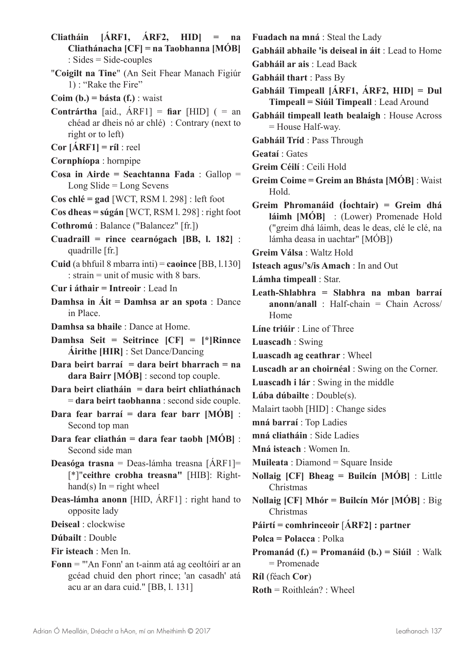**Cliatháin [ÁRF1, ÁRF2, HID] = na Cliathánacha [CF] = na Taobhanna [MÓB]** : Sides = Side-couples

- "**Coigilt na Tine**" (An Seit Fhear Manach Figiúr 1) : "Rake the Fire"
- **Coim (b.) = básta (f.)** : waist
- **Contrártha** [aid., ÁRF1] = **fiar** [HID] ( = an chéad ar dheis nó ar chlé) : Contrary (next to right or to left)
- **Cor [ÁRF1] = ríl** : reel
- **Cornphíopa** : hornpipe
- **Cosa in Airde = Seachtanna Fada** : Gallop = Long Slide = Long Sevens
- **Cos chlé = gad** [WCT, RSM l. 298] : left foot
- **Cos dheas = súgán** [WCT, RSM l. 298] : right foot
- **Cothromú** : Balance ("Balancez" [fr.])
- **Cuadraill = rince cearnógach [BB, l. 182]** : quadrille [fr.]
- **Cuid** (a bhfuil 8 mbarra inti) = **caoince** [BB, l.130] : strain = unit of music with 8 bars.
- **Cur i áthair = Intreoir** : Lead In
- **Damhsa in Áit = Damhsa ar an spota** : Dance in Place.
- **Damhsa sa bhaile** : Dance at Home.
- **Damhsa Seit = Seitrince [CF] = [\*]Rinnce Áirithe [HIR]** : Set Dance/Dancing
- **Dara beirt barraí = dara beirt bharrach = na dara Bairr [MÓB]** : second top couple.
- **Dara beirt cliatháin = dara beirt chliathánach** = **dara beirt taobhanna** : second side couple.
- **Dara fear barraí = dara fear barr [MÓB]** : Second top man
- **Dara fear cliathán = dara fear taobh [MÓB]** : Second side man
- **Deasóga trasna** = Deas-lámha treasna [ÁRF1]= [\*]"**ceithre crobha treasna"** [HIB]: Righthand(s) In  $=$  right wheel
- **Deas-lámha anonn** [HID, ÁRF1] : right hand to opposite lady
- **Deiseal** : clockwise

**Dúbailt** : Double

**Fir isteach** : Men In.

**Fonn** = "'An Fonn' an t-ainm atá ag ceoltóirí ar an gcéad chuid den phort rince; 'an casadh' atá acu ar an dara cuid." [BB, l. 131]

**Fuadach na mná** : Steal the Lady

**Gabháil abhaile 'is deiseal in áit** : Lead to Home

- **Gabháil ar ais** : Lead Back
- **Gabháil thart** : Pass By
- **Gabháil Timpeall [ÁRF1, ÁRF2, HID] = Dul Timpeall = Siúil Timpeall** : Lead Around
- **Gabháil timpeall leath bealaigh** : House Across = House Half-way.
- **Gabháil Tríd** : Pass Through

**Geataí** : Gates

- **Greim Céilí** : Ceili Hold
- **Greim Coime = Greim an Bhásta [MÓB]** : Waist Hold.
- **Greim Phromanáid (Íochtair) = Greim dhá láimh [MÓB]** : (Lower) Promenade Hold ("greim dhá láimh, deas le deas, clé le clé, na lámha deasa in uachtar" [MÓB])

**Greim Válsa** : Waltz Hold

**Isteach agus/'s/is Amach** : In and Out

**Lámha timpeall** : Star.

**Leath-Shlabhra = Slabhra na mban barraí anonn/anall** : Half-chain = Chain Across/ Home

**Líne triúir** : Line of Three

**Luascadh** : Swing

- **Luascadh ag ceathrar** : Wheel
- **Luscadh ar an choirnéal** : Swing on the Corner.
- **Luascadh i lár** : Swing in the middle
- **Lúba dúbailte** : Double(s).
- Malairt taobh [HID] : Change sides

**mná barraí** : Top Ladies

**mná cliatháin** : Side Ladies

**Mná isteach** : Women In.

- **Muileata** : Diamond = Square Inside
- **Nollaig [CF] Bheag = Builcín [MÓB]** : Little Christmas
- **Nollaig [CF] Mhór = Builcín Mór [MÓB]** : Big Christmas
- **Páirtí = comhrinceoir** [**ÁRF2] : partner**

**Polca = Polacca** : Polka

**Promanád (f.) = Promanáid (b.) = Siúil** : Walk = Promenade

**Ríl** (féach **Cor**)

**Roth** = Roithleán? : Wheel